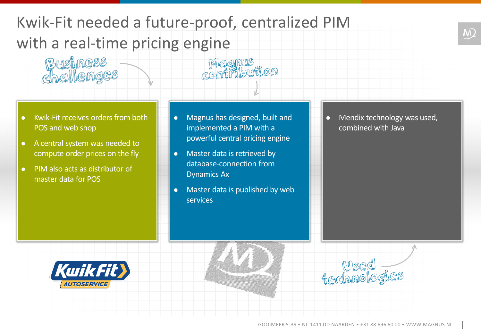## Kwik-Fit needed a future-proof, centralized PIM with a real-time pricing engine

• Kwik-Fit receives orders from both POS and web shop

Business<br>Chellenges

- A central system was needed to compute order prices on the fly
- PIM also acts as distributor of master data for POS

• Magnus has designed, built and implemented a PIM with a powerful central pricing engine

Megnus<br>contribution

- Master data is retrieved by database-connection from Dynamics Ax
- Master data is published by web services

• Mendix technology was used, combined with Java

 $\overline{M}$ 



ے لیے<br>Gedbnologies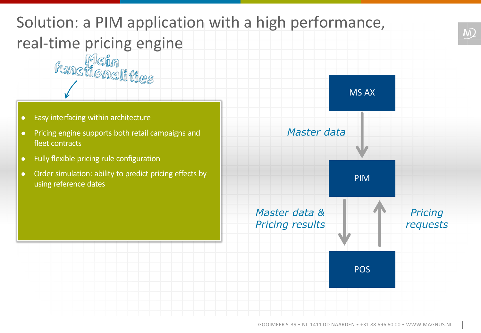